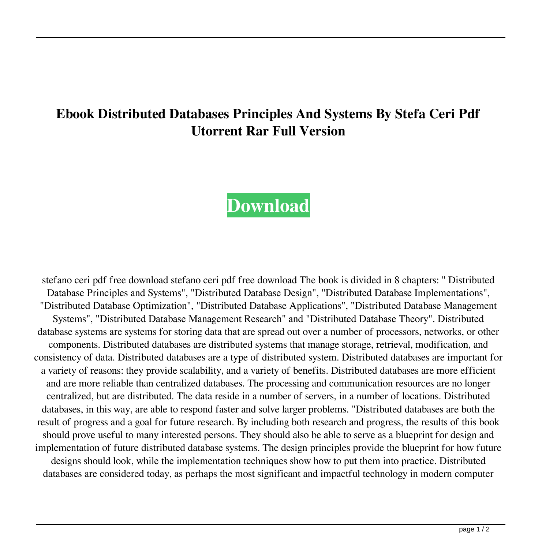## **Ebook Distributed Databases Principles And Systems By Stefa Ceri Pdf Utorrent Rar Full Version**

## **[Download](http://evacdir.com/autostar/?ZG93bmxvYWR8cTFnTVRSMFpIeDhNVFkxTWpjME1EZzJObng4TWpVM05IeDhLRTBwSUhKbFlXUXRZbXh2WnlCYlJtRnpkQ0JIUlU1ZA=hyperreactivity&papohaku=mobilizes.&ZGlzdHJpYnV0ZWQgZGF0YWJhc2VzIHByaW5jaXBsZXMgYW5kIHN5c3RlbXMgYnkgc3RlZmFubyBjZXJpIHBkZiBmcmVlIGRvd25sb2FkZGl=theirserver)**

stefano ceri pdf free download stefano ceri pdf free download The book is divided in 8 chapters: " Distributed Database Principles and Systems", "Distributed Database Design", "Distributed Database Implementations", "Distributed Database Optimization", "Distributed Database Applications", "Distributed Database Management Systems", "Distributed Database Management Research" and "Distributed Database Theory". Distributed database systems are systems for storing data that are spread out over a number of processors, networks, or other components. Distributed databases are distributed systems that manage storage, retrieval, modification, and consistency of data. Distributed databases are a type of distributed system. Distributed databases are important for a variety of reasons: they provide scalability, and a variety of benefits. Distributed databases are more efficient and are more reliable than centralized databases. The processing and communication resources are no longer centralized, but are distributed. The data reside in a number of servers, in a number of locations. Distributed databases, in this way, are able to respond faster and solve larger problems. "Distributed databases are both the result of progress and a goal for future research. By including both research and progress, the results of this book should prove useful to many interested persons. They should also be able to serve as a blueprint for design and implementation of future distributed database systems. The design principles provide the blueprint for how future designs should look, while the implementation techniques show how to put them into practice. Distributed databases are considered today, as perhaps the most significant and impactful technology in modern computer